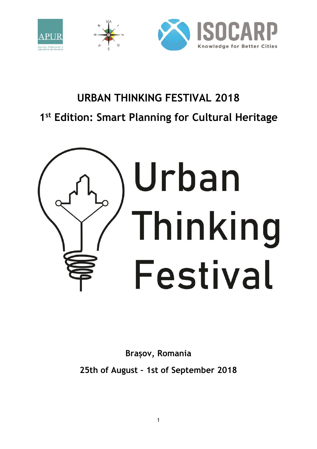

# **URBAN THINKING FESTIVAL 2018 1 st Edition: Smart Planning for Cultural Heritage**



**Brașov, Romania**

**25th of August – 1st of September 2018**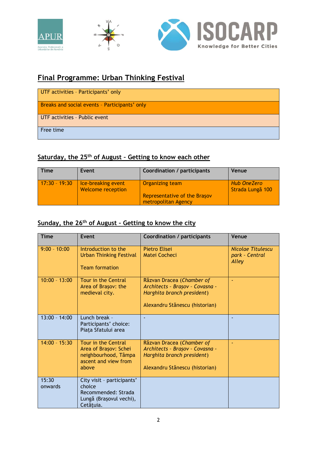

### **Final Programme: Urban Thinking Festival**

| UTF activities - Participants' only           |
|-----------------------------------------------|
| Breaks and social events - Participants' only |
| UTF activities - Public event                 |
| Free time                                     |

#### **Saturday, the 25th of August – Getting to know each other**

| <b>Time</b>     | Event                                          | Coordination / participants                                            | Venue                                  |
|-----------------|------------------------------------------------|------------------------------------------------------------------------|----------------------------------------|
| $17:30 - 19:30$ | Ice-breaking event<br><b>Welcome reception</b> | Organizing team<br>Representative of the Brasov<br>metropolitan Agency | <b>Hub OneZero</b><br>Strada Lungă 100 |

#### **Sunday, the 26th of August – Getting to know the city**

| <b>Time</b>      | <b>Event</b>                                                                                          | <b>Coordination / participants</b>                                                                                           | Venue                                               |
|------------------|-------------------------------------------------------------------------------------------------------|------------------------------------------------------------------------------------------------------------------------------|-----------------------------------------------------|
| $9:00 - 10:00$   | Introduction to the<br><b>Urban Thinking Festival</b><br><b>Team formation</b>                        | Pietro Elisei<br>Matei Cocheci                                                                                               | <b>Nicolae Titulescu</b><br>park - Central<br>Alley |
| $10:00 - 13:00$  | Tour in the Central<br>Area of Brașov: the<br>medieval city.                                          | Răzvan Dracea (Chamber of<br>Architects - Brașov - Covasna -<br>Harghita branch president)<br>Alexandru Stănescu (historian) | ٠                                                   |
| $13:00 - 14:00$  | Lunch break -<br>Participants' choice:<br>Piața Sfatului area                                         |                                                                                                                              |                                                     |
| $14:00 - 15:30$  | Tour in the Central<br>Area of Brașov: Schei<br>neighbourhood, Tâmpa<br>ascent and view from<br>above | Răzvan Dracea (Chamber of<br>Architects - Brașov - Covasna -<br>Harghita branch president)<br>Alexandru Stănescu (historian) |                                                     |
| 15:30<br>onwards | City visit - participants'<br>choice<br>Recommended: Strada<br>Lungă (Brașovul vechi),<br>Cetătuia.   |                                                                                                                              |                                                     |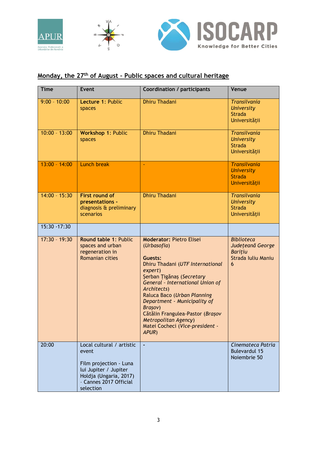

# **Monday, the 27th of August – Public spaces and cultural heritage**

| <b>Time</b>     | <b>Event</b>                                                                                                                                           | <b>Coordination / participants</b>                                                                                                                                                                                                                                                                                                                                                | Venue                                                                              |
|-----------------|--------------------------------------------------------------------------------------------------------------------------------------------------------|-----------------------------------------------------------------------------------------------------------------------------------------------------------------------------------------------------------------------------------------------------------------------------------------------------------------------------------------------------------------------------------|------------------------------------------------------------------------------------|
| $9:00 - 10:00$  | Lecture 1: Public<br>spaces                                                                                                                            | <b>Dhiru Thadani</b>                                                                                                                                                                                                                                                                                                                                                              | <b>Transilvania</b><br><b>University</b><br><b>Strada</b><br>Universității         |
| $10:00 - 13:00$ | Workshop 1: Public<br>spaces                                                                                                                           | <b>Dhiru Thadani</b>                                                                                                                                                                                                                                                                                                                                                              | <b>Transilvania</b><br><b>University</b><br><b>Strada</b><br>Universității         |
| $13:00 - 14:00$ | <b>Lunch break</b>                                                                                                                                     | ٠                                                                                                                                                                                                                                                                                                                                                                                 | <b>Transilvania</b><br><b>University</b><br><b>Strada</b><br>Universității         |
| $14:00 - 15:30$ | <b>First round of</b><br>presentations -<br>diagnosis & preliminary<br>scenarios                                                                       | <b>Dhiru Thadani</b>                                                                                                                                                                                                                                                                                                                                                              | <b>Transilvania</b><br><b>University</b><br><b>Strada</b><br>Universității         |
| $15:30 - 17:30$ |                                                                                                                                                        |                                                                                                                                                                                                                                                                                                                                                                                   |                                                                                    |
| $17:30 - 19:30$ | Round table 1: Public<br>spaces and urban<br>regeneration in<br><b>Romanian cities</b>                                                                 | <b>Moderator: Pietro Elisei</b><br>(Urbasofia)<br>Guests:<br>Dhiru Thadani (UTF International<br>expert)<br>Şerban Tigănaș (Secretary<br>General - International Union of<br>Architects)<br>Raluca Baco (Urban Planning<br>Department - Municipality of<br>Brașov)<br>Cătălin Frangulea-Pastor (Brașov<br><b>Metropolitan Agency)</b><br>Matei Cocheci (Vice-president -<br>APUR) | <b>Biblioteca</b><br>Județeană George<br><b>Baritiu</b><br>Strada Iuliu Maniu<br>6 |
| 20:00           | Local cultural / artistic<br>event<br>Film projection - Luna<br>lui Jupiter / Jupiter<br>Holdja (Ungaria, 2017)<br>- Cannes 2017 Official<br>selection | $\mathbf{r}$                                                                                                                                                                                                                                                                                                                                                                      | Cinemateca Patria<br><b>Bulevardul 15</b><br>Noiembrie 50                          |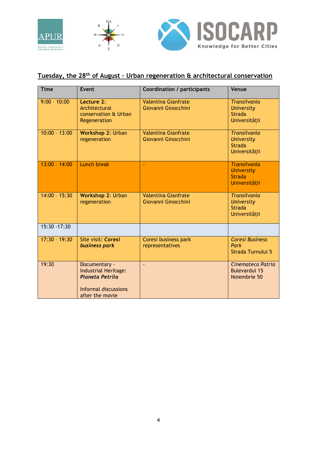

# **Tuesday, the 28th of August – Urban regeneration & architectural conservation**

| <b>Time</b>     | Event                                                                                                      | <b>Coordination / participants</b>                | Venue                                                                      |
|-----------------|------------------------------------------------------------------------------------------------------------|---------------------------------------------------|----------------------------------------------------------------------------|
| $9:00 - 10:00$  | Lecture 2:<br>Architectural<br>conservation & Urban<br>Regeneration                                        | <b>Valentina Gianfrate</b><br>Giovanni Ginocchini | <b>Transilvania</b><br><b>University</b><br><b>Strada</b><br>Universității |
| $10:00 - 13:00$ | Workshop 2: Urban<br>regeneration                                                                          | <b>Valentina Gianfrate</b><br>Giovanni Ginocchini | <b>Transilvania</b><br><b>University</b><br><b>Strada</b><br>Universității |
| $13:00 - 14:00$ | Lunch break                                                                                                | Ξ                                                 | <b>Transilvania</b><br><b>University</b><br><b>Strada</b><br>Universitătii |
| $14:00 - 15:30$ | Workshop 2: Urban<br>regeneration                                                                          | <b>Valentina Gianfrate</b><br>Giovanni Ginocchini | <b>Transilvania</b><br><b>University</b><br><b>Strada</b><br>Universității |
| $15:30 - 17:30$ |                                                                                                            |                                                   |                                                                            |
| $17:30 - 19:30$ | Site visit: Coresi<br>business park                                                                        | Coresi business park<br>representatives           | <b>Coresi Business</b><br>Park<br>Strada Turnului 5                        |
| 19:30           | Documentary -<br>Industrial Heritage:<br><b>Planeta Petrila</b><br>Informal discussions<br>after the movie |                                                   | Cinemateca Patria<br><b>Bulevardul 15</b><br>Noiembrie 50                  |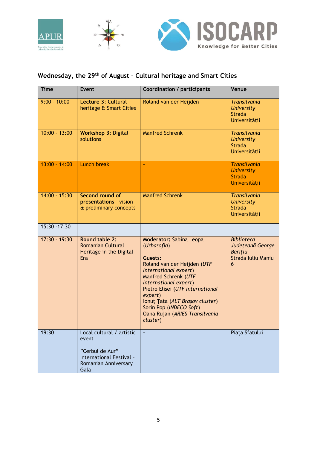

# **Wednesday, the 29th of August – Cultural heritage and Smart Cities**

| <b>Time</b>     | <b>Event</b>                                                                                                      | <b>Coordination / participants</b>                                                                                                                                                                                                                                                                                           | Venue                                                                              |
|-----------------|-------------------------------------------------------------------------------------------------------------------|------------------------------------------------------------------------------------------------------------------------------------------------------------------------------------------------------------------------------------------------------------------------------------------------------------------------------|------------------------------------------------------------------------------------|
| $9:00 - 10:00$  | Lecture 3: Cultural<br>heritage & Smart Cities                                                                    | Roland van der Heijden                                                                                                                                                                                                                                                                                                       | <b>Transilvania</b><br><b>University</b><br><b>Strada</b><br>Universitătii         |
| $10:00 - 13:00$ | <b>Workshop 3: Digital</b><br>solutions                                                                           | <b>Manfred Schrenk</b>                                                                                                                                                                                                                                                                                                       | <b>Transilvania</b><br><b>University</b><br><b>Strada</b><br>Universitătii         |
| $13:00 - 14:00$ | <b>Lunch break</b>                                                                                                |                                                                                                                                                                                                                                                                                                                              | <b>Transilvania</b><br><b>University</b><br><b>Strada</b><br>Universității         |
| $14:00 - 15:30$ | Second round of<br>presentations - vision<br>& preliminary concepts                                               | <b>Manfred Schrenk</b>                                                                                                                                                                                                                                                                                                       | <b>Transilvania</b><br><b>University</b><br><b>Strada</b><br>Universității         |
| 15:30 - 17:30   |                                                                                                                   |                                                                                                                                                                                                                                                                                                                              |                                                                                    |
| $17:30 - 19:30$ | <b>Round table 2:</b><br><b>Romanian Cultural</b><br>Heritage in the Digital<br>Era                               | <b>Moderator: Sabina Leopa</b><br>(Urbasofia)<br>Guests:<br>Roland van der Heijden (UTF<br>International expert)<br>Manfred Schrenk (UTF<br>International expert)<br>Pietro Elisei (UTF International<br>expert)<br>Ionuț Țața (ALT Brașov cluster)<br>Sorin Pop (INDECO Soft)<br>Oana Rujan (ARIES Transilvania<br>cluster) | <b>Biblioteca</b><br>Județeană George<br><b>Baritiu</b><br>Strada Iuliu Maniu<br>6 |
| 19:30           | Local cultural / artistic<br>event<br>"Cerbul de Aur"<br>International Festival -<br>Romanian Anniversary<br>Gala |                                                                                                                                                                                                                                                                                                                              | Piața Sfatului                                                                     |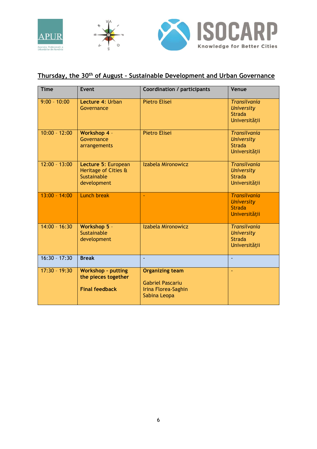

# **Thursday, the 30th of August – Sustainable Development and Urban Governance**

| <b>Time</b>     | Event                                                                     | <b>Coordination / participants</b>                                                       | Venue                                                                      |
|-----------------|---------------------------------------------------------------------------|------------------------------------------------------------------------------------------|----------------------------------------------------------------------------|
| $9:00 - 10:00$  | Lecture 4: Urban<br>Governance                                            | Pietro Elisei                                                                            | <b>Transilvania</b><br><b>University</b><br><b>Strada</b><br>Universității |
| $10:00 - 12:00$ | <b>Workshop 4 -</b><br>Governance<br>arrangements                         | <b>Pietro Elisei</b>                                                                     | <b>Transilvania</b><br><b>University</b><br><b>Strada</b><br>Universității |
| $12:00 - 13:00$ | Lecture 5: European<br>Heritage of Cities &<br>Sustainable<br>development | Izabela Mironowicz                                                                       | <b>Transilvania</b><br><b>University</b><br><b>Strada</b><br>Universității |
| $13:00 - 14:00$ | <b>Lunch break</b>                                                        | ÷                                                                                        | <b>Transilvania</b><br><b>University</b><br><b>Strada</b><br>Universității |
| $14:00 - 16:30$ | Workshop 5 -<br>Sustainable<br>development                                | Izabela Mironowicz                                                                       | <b>Transilvania</b><br><b>University</b><br><b>Strada</b><br>Universității |
| $16:30 - 17:30$ | <b>Break</b>                                                              |                                                                                          |                                                                            |
| $17:30 - 19:30$ | <b>Workshop - putting</b><br>the pieces together<br><b>Final feedback</b> | <b>Organizing team</b><br><b>Gabriel Pascariu</b><br>Irina Florea-Saghin<br>Sabina Leopa | ÷.                                                                         |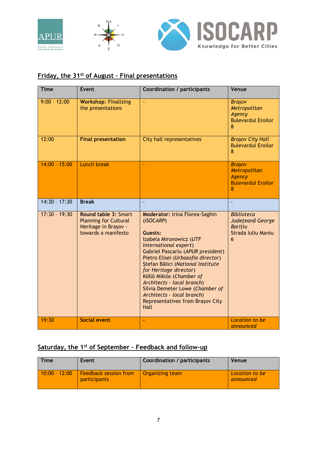

#### **Friday, the 31st of August – Final presentations**

| <b>Time</b>     | <b>Event</b>                                                                                               | <b>Coordination / participants</b>                                                                                                                                                                                                                                                                                                                                                                                                 | Venue                                                                              |
|-----------------|------------------------------------------------------------------------------------------------------------|------------------------------------------------------------------------------------------------------------------------------------------------------------------------------------------------------------------------------------------------------------------------------------------------------------------------------------------------------------------------------------------------------------------------------------|------------------------------------------------------------------------------------|
| $9:00 - 12:00$  | <b>Workshop: Finalizing</b><br>the presentations                                                           | ÷.                                                                                                                                                                                                                                                                                                                                                                                                                                 | <b>Brasov</b><br>Metropolitan<br>Agency<br><b>Bulevardul Eroilor</b><br>8          |
| 12:00           | <b>Final presentation</b>                                                                                  | City hall representatives                                                                                                                                                                                                                                                                                                                                                                                                          | <b>Brasov City Hall</b><br><b>Bulevardul Eroilor</b><br>8                          |
| $14:00 - 15:00$ | <b>Lunch break</b>                                                                                         | ÷.                                                                                                                                                                                                                                                                                                                                                                                                                                 | <b>Brasov</b><br>Metropolitan<br><b>Agency</b><br><b>Bulevardul Eroilor</b><br>8   |
| $14:30 - 17:30$ | <b>Break</b>                                                                                               |                                                                                                                                                                                                                                                                                                                                                                                                                                    |                                                                                    |
| $17:30 - 19:30$ | <b>Round table 3: Smart</b><br><b>Planning for Cultural</b><br>Heritage in Brașov -<br>towards a manifesto | Moderator: Irina Florea-Saghin<br>(ISOCARP)<br>Guests:<br>Izabela Mironowicz (UTF<br>International expert)<br>Gabriel Pascariu (APUR president)<br>Pietro Elisei (Urbasofia director)<br>Stefan Bâlici (National Institute<br>for Heritage director)<br>Köllő Miklós (Chamber of<br>Architects - local branch)<br>Silvia Demeter Lowe (Chamber of<br>Architects - local branch)<br><b>Representatives from Brasov City</b><br>Hall | <b>Biblioteca</b><br>Județeană George<br><b>Baritiu</b><br>Strada Iuliu Maniu<br>6 |
| 19:30           | <b>Social event</b>                                                                                        |                                                                                                                                                                                                                                                                                                                                                                                                                                    | Location to be<br>announced                                                        |

#### **Saturday, the 1st of September – Feedback and follow-up**

| Time            | Event                                               | Coordination / participants | Venue                       |
|-----------------|-----------------------------------------------------|-----------------------------|-----------------------------|
| $10:00 - 12:00$ | <b>Feedback session from</b><br><b>participants</b> | Organizing team             | Location to be<br>announced |